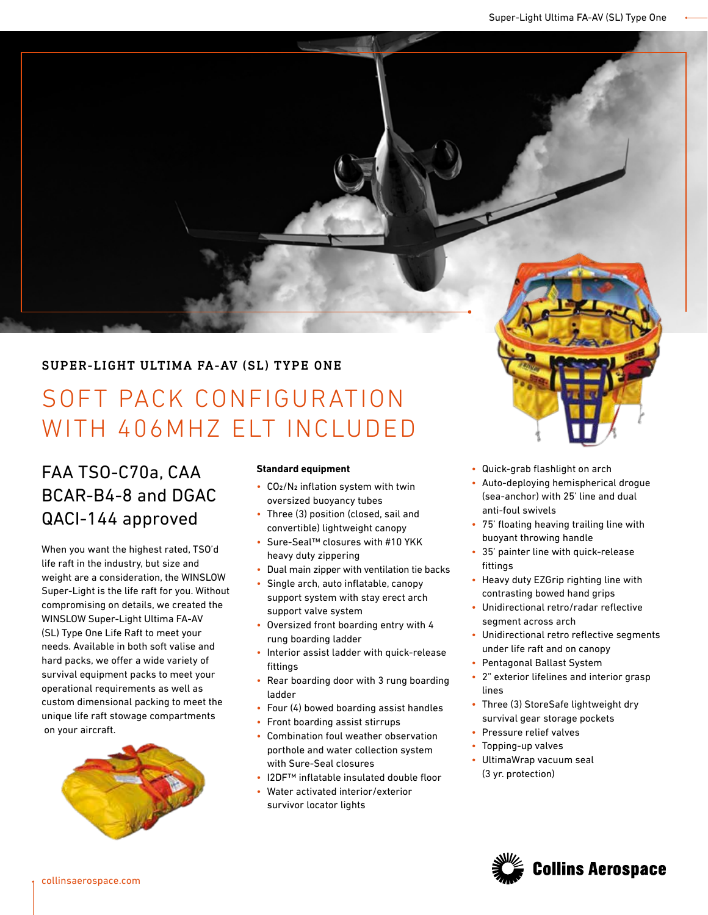# SUPER-LIGHT ULTIMA FA-AV (SL) TYPE ONE

# SOFT PACK CONFIGURATION WITH 406MHZ ELT INCLUDED

# FAA TSO-C70a, CAA BCAR-B4-8 and DGAC QACI-144 approved

When you want the highest rated, TSO'd life raft in the industry, but size and weight are a consideration, the WINSLOW Super-Light is the life raft for you. Without compromising on details, we created the WINSLOW Super-Light Ultima FA-AV (SL) Type One Life Raft to meet your needs. Available in both soft valise and hard packs, we offer a wide variety of survival equipment packs to meet your operational requirements as well as custom dimensional packing to meet the unique life raft stowage compartments on your aircraft.



## **Standard equipment**

- CO2/N2 inflation system with twin oversized buoyancy tubes
- Three (3) position (closed, sail and convertible) lightweight canopy
- Sure-Seal™ closures with #10 YKK heavy duty zippering
- Dual main zipper with ventilation tie backs
- Single arch, auto inflatable, canopy support system with stay erect arch support valve system
- Oversized front boarding entry with 4 rung boarding ladder
- Interior assist ladder with quick-release fittings
- Rear boarding door with 3 rung boarding ladder
- Four (4) bowed boarding assist handles
- Front boarding assist stirrups
- Combination foul weather observation porthole and water collection system with Sure-Seal closures
- I2DF™ inflatable insulated double floor
- Water activated interior/exterior survivor locator lights
- Quick-grab flashlight on arch
- Auto-deploying hemispherical drogue (sea-anchor) with 25' line and dual anti-foul swivels
- 75' floating heaving trailing line with buoyant throwing handle
- 35' painter line with quick-release fittings
- Heavy duty EZGrip righting line with contrasting bowed hand grips
- Unidirectional retro/radar reflective segment across arch
- Unidirectional retro reflective segments under life raft and on canopy
- Pentagonal Ballast System
- 2" exterior lifelines and interior grasp lines
- Three (3) StoreSafe lightweight dry survival gear storage pockets
- Pressure relief valves
- Topping-up valves
- UltimaWrap vacuum seal (3 yr. protection)